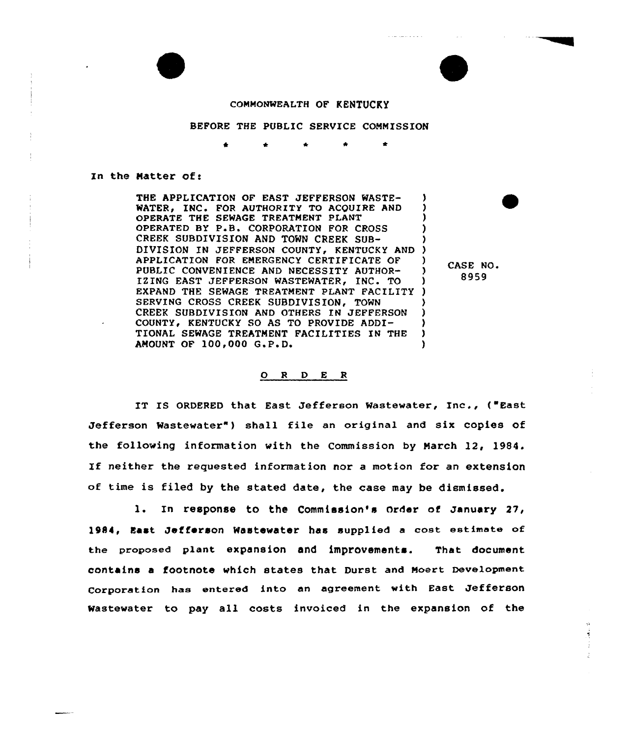

## COMMONWEALTH OF KENTUCKY

## BEFORE THE PUBLIC SERVICE COMMISSION

In the Matter of:

THE APPLICATION OF EAST JEFFERSON WASTE-WATER, INC. FOR AUTHORITY TO ACQUIRE AND OPERATE THE SEWAGE TREATMENT PLANT OPERATED BY P.B. CORPORATION FOR CROSS CREEK SUBDIVISION AND TOWN CREEK SUB-DIVISION IN JEFFERSON COUNTY, KENTUCKY AND )<br>APPLICATION FOR EMERGENCY CERTIFICATE OF ) APPLICATION FOR EMERGENCY CERTIFICATE OF ) PUBLIC CONVENIENCE AND NECESSITY AUTHOR-IZING EAST JEFFERSON WASTEWATER, INC. TO ) EXPAND THE SEWAGE TREATMENT PLANT FACILITY ) SERVING CROSS CREEK SUBDIVISION, TOWN CREEK SUBDIVISION AND OTHERS IN JEFFERSON COUNTY, KENTUCKY SO AS TO PROVIDE ADDI-TIONAL SEWAGE TREATMENT FACILITIES IN THE ) AMOUNT OF 100,000 G.P.D.

CASE NO. 8959

## 0 <sup>R</sup> <sup>D</sup> <sup>E</sup> <sup>R</sup>

IT IS ORDERED that East Jefferson Wastewater, Inc., {"East Jefferson Wastewater") shall file an original and six copies of the following information with the Commission by March 12, 1984. If neither the requested information nor <sup>a</sup> motion for an extension of time is filed by the stated date, the case may be dismissed.

l. In response to the Commission's Order of January 27/ l984, East Jefferson Wastewater has supplied <sup>a</sup> cost estimste of the proposed plant expansion and improvements. That document contains a footnote which states that Durst and Moert Development Corporation has entered into an agreement with East Jefferson Wastewater to pay all costs invoiced in the expansion of the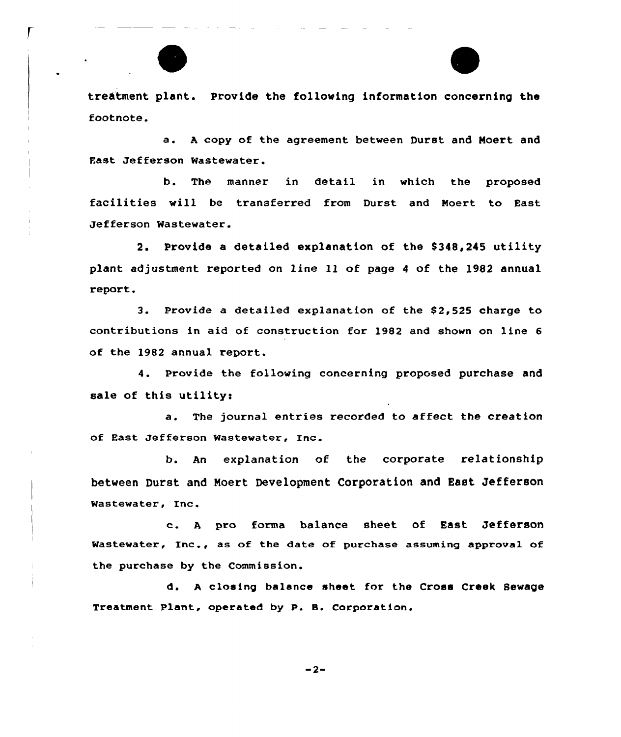

treatment plant. Provide the following information concerning the footnote.

a. <sup>A</sup> copy of the agreement between Durst and Noert and Fast Jefferson Wastewater.

b. The manner in detail in which the proposed facilities will be transferred from Durst and Moert to East Jefferson Wastewater.

2. Provide a detailed explanation of the \$348,245 utility plant adjustment reported on line 11 of page <sup>4</sup> of the 1982 annual report.

3. Provide a detai1ed explanation of the S2,525 charge to contributions in aid of construction for 1982 and shown on line 6 of the 1982 annual report.

4. Provide the following concerning proposed purchase and sale of this utility:

a. The journal entries recorded to affect the creation of East Jefferson Wastewater, Inc.

b. An explanation of the corporate relationship between Durst and Noert Development Corporation and East Jefferson Wastewater, Inc.

c. <sup>A</sup> pro forma balance sheet of East Jefferson Wastewater, Inc., as of the date of purchase assuming approval of the purchase by the Commission.

d. <sup>A</sup> closing balance sheet for the Cross Creek Sewage Treatment Plant, operated by P. 8. Corporation.

 $-2-$